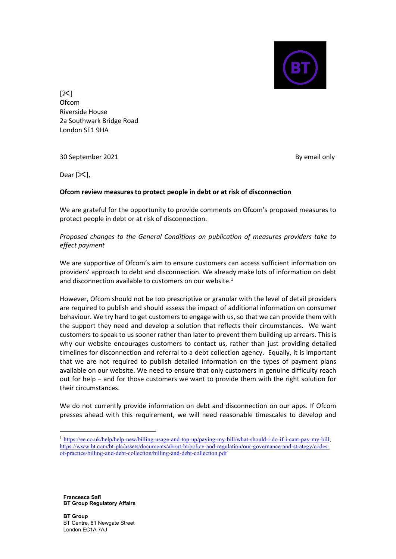

 $[\mathcal{X}]$ Ofcom Riverside House 2a Southwark Bridge Road London SE1 9HA

30 September 2021

By email only

Dear  $[\times]$ ,

## **Ofcom review measures to protect people in debt or at risk of disconnection**

We are grateful for the opportunity to provide comments on Ofcom's proposed measures to protect people in debt or at risk of disconnection.

## *Proposed changes to the General Conditions on publication of measures providers take to effect payment*

We are supportive of Ofcom's aim to ensure customers can access sufficient information on providers' approach to debt and disconnection. We already make lots of information on debt and disconnection available to customers on our website.<sup>1</sup>

However, Ofcom should not be too prescriptive or granular with the level of detail providers are required to publish and should assess the impact of additional information on consumer behaviour. We try hard to get customers to engage with us, so that we can provide them with the support they need and develop a solution that reflects their circumstances. We want customers to speak to us sooner rather than later to prevent them building up arrears. This is why our website encourages customers to contact us, rather than just providing detailed timelines for disconnection and referral to a debt collection agency. Equally, it is important that we are not required to publish detailed information on the types of payment plans available on our website. We need to ensure that only customers in genuine difficulty reach out for help – and for those customers we want to provide them with the right solution for their circumstances.

We do not currently provide information on debt and disconnection on our apps. If Ofcom presses ahead with this requirement, we will need reasonable timescales to develop and

**Francesca Safi BT Group Regulatory Affairs**

**BT Group** BT Centre, 81 Newgate Street London EC1A 7AJ

<sup>&</sup>lt;sup>1</sup> [https://ee.co.uk/help/help-new/billing-usage-and-top-up/paying-my-bill/what-should-i-do-if-i-cant-pay-my-bill;](https://ee.co.uk/help/help-new/billing-usage-and-top-up/paying-my-bill/what-should-i-do-if-i-cant-pay-my-bill) [https://www.bt.com/bt-plc/assets/documents/about-bt/policy-and-regulation/our-governance-and-strategy/codes](https://www.bt.com/bt-plc/assets/documents/about-bt/policy-and-regulation/our-governance-and-strategy/codes-of-practice/billing-and-debt-collection/billing-and-debt-collection.pdf)[of-practice/billing-and-debt-collection/billing-and-debt-collection.pdf](https://www.bt.com/bt-plc/assets/documents/about-bt/policy-and-regulation/our-governance-and-strategy/codes-of-practice/billing-and-debt-collection/billing-and-debt-collection.pdf)